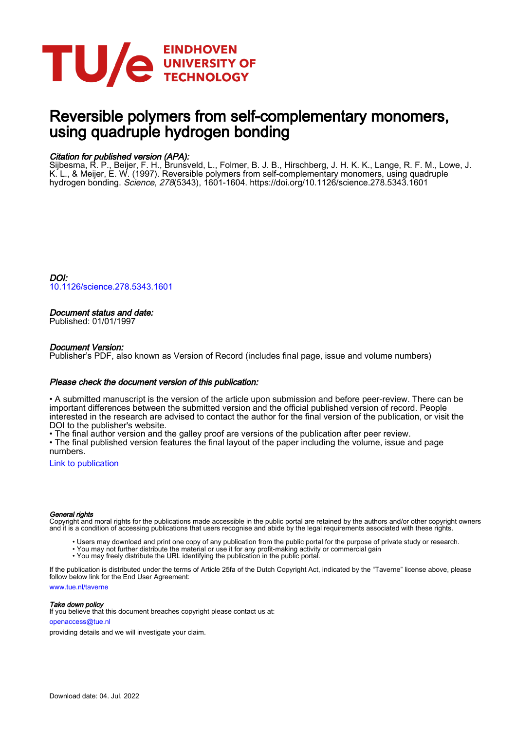

# Reversible polymers from self-complementary monomers, using quadruple hydrogen bonding

## Citation for published version (APA):

Sijbesma, R. P., Beijer, F. H., Brunsveld, L., Folmer, B. J. B., Hirschberg, J. H. K. K., Lange, R. F. M., Lowe, J. K. L., & Meijer, E. W. (1997). Reversible polymers from self-complementary monomers, using quadruple hydrogen bonding. Science, 278(5343), 1601-1604.<https://doi.org/10.1126/science.278.5343.1601>

DOI: [10.1126/science.278.5343.1601](https://doi.org/10.1126/science.278.5343.1601)

## Document status and date:

Published: 01/01/1997

## Document Version:

Publisher's PDF, also known as Version of Record (includes final page, issue and volume numbers)

## Please check the document version of this publication:

• A submitted manuscript is the version of the article upon submission and before peer-review. There can be important differences between the submitted version and the official published version of record. People interested in the research are advised to contact the author for the final version of the publication, or visit the DOI to the publisher's website.

• The final author version and the galley proof are versions of the publication after peer review.

• The final published version features the final layout of the paper including the volume, issue and page numbers.

[Link to publication](https://research.tue.nl/en/publications/433d6a92-eb33-477f-b21b-5b6311426319)

### General rights

Copyright and moral rights for the publications made accessible in the public portal are retained by the authors and/or other copyright owners and it is a condition of accessing publications that users recognise and abide by the legal requirements associated with these rights.

- Users may download and print one copy of any publication from the public portal for the purpose of private study or research.
- You may not further distribute the material or use it for any profit-making activity or commercial gain
- You may freely distribute the URL identifying the publication in the public portal.

If the publication is distributed under the terms of Article 25fa of the Dutch Copyright Act, indicated by the "Taverne" license above, please follow below link for the End User Agreement:

www.tue.nl/taverne

**Take down policy**<br>If you believe that this document breaches copyright please contact us at:

openaccess@tue.nl

providing details and we will investigate your claim.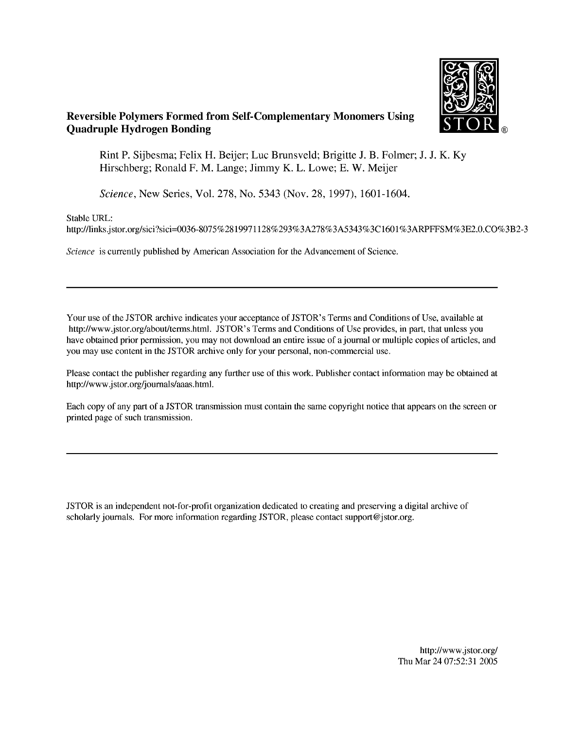

## **Reversible Polymers Formed from Self-Complementary Monomers Using Quadruple Hydrogen Bonding**

Rint P. Sijbesma; Felix H. Beijer; Luc Brunsveld; Brigitte J. B. Folmer; J. J. K. Ky Hirschberg; Ronald F. M. Lange; Jimmy K. L. Lowe; E. W. Meijer

Science, New Series, Vol. 278, No. 5343 (Nov. 28, 1997), 1601-1604.

Stable URL:

http://links.jstor.org/sici?sici=0036-8075%2819971128%293%3A278%3A5343%3C1601%3ARPFFSM%3E2.0.CO%3B2-3

Science is currently published by American Association for the Advancement of Science.

Your use of the JSTOR archive indicates your acceptance of JSTOR's Terms and Conditions of Use, available at http://www.jstor.org/about/terms.html. JSTOR's Terms and Conditions of Use provides, in part, that unless you have obtained prior permission, you may not download an entire issue of a journal or multiple copies of articles, and you may use content in the JSTOR archive only for your personal, non-commercial use.

Please contact the publisher regarding any further use of this work. Publisher contact information may be obtained at http://www.jstor.org/journals/aaas.html.

Each copy of any part of a JSTOR transmission must contain the same copyright notice that appears on the screen or printed page of such transmission.

JSTOR is an independent not-for-profit organization dedicated to creating and preserving a digital archive of scholarly journals. For more information regarding JSTOR, please contact support@jstor.org.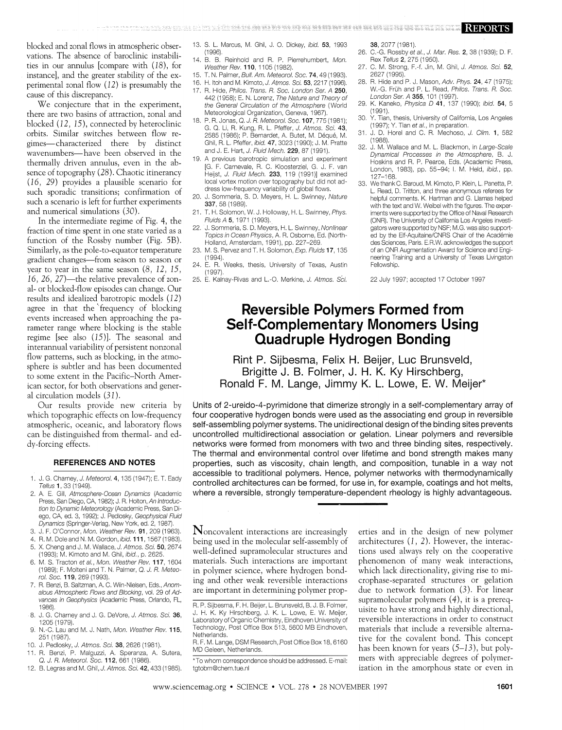blocked and zonal flows in atmospheric observations. The absence of baroclinic instabilities in our annulus [compare with  $(18)$ , for instance], and the greater stability of the experimental zonal flow  $(12)$  is presumably the cause of this discrepancy.

We conjecture that in the experiment, there are two basins of attraction, zonal and blocked  $(12, 15)$ , connected by heteroclinic orbits. Similar switches between flow regimes—characterized there by distinct wavenumbers—have been observed in the thermally driven annulus, even in the absence of topography (28). Chaotic itinerancy (16, 29) provides a plausible scenario for such sporadic transitions; confirmation of such a scenario is left for further experiments and numerical simulations (30).

In the intermediate regime of Fig. 4, the fraction of time spent in one state varied as a function of the Rossby number (Fig. 5B). Similarly, as the pole-to-equator temperature gradient changes—from season to season or year to year in the same season  $(8, 12, 15,$ 16, 26, 27)—the relative prevalence of zonal- or blocked-flow episodes can change. Our results and idealized barotropic models (12) agree in that the frequency of blocking events increased when approaching the parameter range where blocking is the stable regime [see also (15)]. The seasonal and interannual variability of persistent nonzonal flow patterns, such as blocking, in the atmosphere is subtler and has been documented to some extent in the Pacific-North American sector, for both observations and general circulation models (31).

Our results provide new criteria by which topographic effects on low-frequency atmospheric, oceanic, and laboratory flows can be distinguished from thermal- and eddy-forcing effects.

### **REFERENCES AND NOTES**

- 1. J. G. Charney, J. Meteorol. 4, 135 (1947); E. T. Eady Tellus 1, 33 (1949).
- 2. A. E. Gill, Atmosphere-Ocean Dynamics (Academic Press, San Diego, CA, 1982); J. R. Holton, An Introduction to Dynamic Meteorology (Academic Press, San Diego, CA, ed. 3, 1992); J. Pedlosky, Geophysical Fluid Dynamics (Springer-Verlag, New York, ed. 2, 1987).
- 3. J. F. O'Connor, Mon. Weather Rev. 91, 209 (1963).
- 4. R. M. Dole and N. M. Gordon, ibid. 111, 1567 (1983).
- 5. X. Cheng and J. M. Wallace, J. Atmos. Sci. 50, 2674 (1993); M. Kimoto and M. Ghil, ibid., p. 2625.
- 6. M. S. Tracton et al., Mon. Weather Rev. 117, 1604 (1989); F. Molteni and T. N. Palmer, Q. J. R. Meteorol. Soc. 119, 269 (1993).
- 7. R. Benzi, B. Saltzman, A. C. Wiin-Nielsen, Eds., Anomalous Atmospheric Flows and Blocking, vol. 29 of Advances in Geophysics (Academic Press, Orlando, FL, 1986)
- J. G. Charney and J. G. DeVore, J. Atmos. Sci. 36, 8. 1205 (1979).
- N.-C. Lau and M. J. Nath, Mon. Weather Rev. 115,  $\mathsf{Q}$ 251 (1987).
- 10. J. Pedlosky, J. Atmos. Sci. 38, 2626 (1981).
- 11. R. Benzi, P. Malguzzi, A. Speranza, A. Sutera, Q. J. R. Meteorol. Soc. 112, 661 (1986)
- 12. B. Legras and M. Ghil, J. Atmos. Sci. 42, 433 (1985).
- 13. S. L. Marcus, M. Ghil, J. O. Dickey, *ibid*, **53**, 1993.  $(1996)$
- $14$ B. B. Reinhold and R. P. Pierrehumbert, Mon. Weather Rev. 110, 1105 (1982).
- 15 T. N. Palmer, Bull. Am. Meteorol. Soc. 74, 49 (1993).
- 16. H. Itoh and M. Kimoto, J. Atmos. Sci. 53, 2217 (1996).
- 17. R. Hide, Philos. Trans. R. Soc. London Ser. A 250, 442 (1958); E. N. Lorenz, The Nature and Theory of the General Circulation of the Atmosphere (World Meteorological Organization, Geneva, 1967).
- 18. P. R. Jonas, Q. J. R. Meteorol. Soc. 107, 775 (1981); G. Q. Li, R. Kung, R. L. Pfeffer, J. Atmos. Sci. 43, 2585 (1986); P. Bernardet, A. Butet, M. Déqué, M. Ghil, R. L. Pfeffer, ibid. 47, 3023 (1990); J. M. Pratte and J. E. Hart, J. Fluid Mech. 229, 87 (1991).
- 19. A previous barotropic simulation and experiment [G. F. Carnevale, R. C. Kloosterziel, G. J. F. van Heijst, J. Fluid Mech. 233, 119 (1991)] examined local vortex motion over topography but did not address low-frequency variability of global flows.
- $20 -$ J. Sommeria, S. D. Meyers, H. L. Swinney, Nature 337, 58 (1989).
- T. H. Solomon, W. J. Holloway, H. L. Swinney, Phys. Fluids A 5, 1971 (1993).
- J. Sommeria, S. D. Meyers, H. L. Swinney, Nonlinear 22. Topics in Ocean Physics, A. R. Osborne, Ed. (North-Holland, Amsterdam, 1991), pp. 227-269.
- 23. M. S. Pervez and T. H. Solomon, Exp. Fluids 17, 135 (1994).
- 24. E. R. Weeks, thesis, University of Texas, Austin  $(1997)$
- 25. E. Kalnay-Rivas and L.-O. Merkine, J. Atmos. Sci.

38. 2077 (1981).

- 26. C.-G. Rossby et al., J. Mar. Res. 2, 38 (1939); D. F. Rex Tellus 2, 275 (1950).
- 27. C. M. Strong, F.-f. Jin, M. Ghil, J. Atmos. Sci. 52, 2627 (1995).
- 28. R. Hide and P. J. Mason, Adv. Phys. 24, 47 (1975); W.-G. Früh and P. L. Read, Philos. Trans. R. Soc. London Ser. A 355, 101 (1997).
- 29. K. Kaneko, Physica D 41, 137 (1990); ibid. 54, 5  $(1991)$ .
- Y. Tian, thesis, University of California, Los Angeles 30. (1997); Y. Tian et al., in preparation.
- 31. J. D. Horel and C. R. Mechoso, J. Clim. 1, 582 (1988).<br>32. J. M. Wallace and M. L. Blackmon, in Large-Scale
- Dynamical Processes in the Atmosphere, B. J. Hoskins and R. P. Pearce, Eds. (Academic Press, London, 1983), pp. 55-94; I. M. Held, ibid., pp. 127-168
- 33. We thank C. Baroud, M. Kimoto, P. Klein, L. Panetta, P. L. Read, D. Tritton, and three anonymous referees for helpful comments. K. Hartman and G. Hamas helped with the text and W. Weibel with the figures. The experiments were supported by the Office of Naval Research (ONR). The University of California Los Angeles investigators were supported by NSF; M.G. was also supported by the Elf-Aquitaine/CNRS Chair of the Académie des Sciences, Paris. E.R.W. acknowledges the support of an ONR Augmentation Award for Science and Engineering Training and a University of Texas Livingston Fellowship.

22 July 1997; accepted 17 October 1997

# **Reversible Polymers Formed from Self-Complementary Monomers Using Quadruple Hydrogen Bonding**

Rint P. Sijbesma, Felix H. Beijer, Luc Brunsveld, Brigitte J. B. Folmer, J. H. K. Ky Hirschberg, Ronald F. M. Lange, Jimmy K. L. Lowe, E. W. Meijer\*

Units of 2-ureido-4-pyrimidone that dimerize strongly in a self-complementary array of four cooperative hydrogen bonds were used as the associating end group in reversible self-assembling polymer systems. The unidirectional design of the binding sites prevents uncontrolled multidirectional association or gelation. Linear polymers and reversible networks were formed from monomers with two and three binding sites, respectively. The thermal and environmental control over lifetime and bond strength makes many properties, such as viscosity, chain length, and composition, tunable in a way not accessible to traditional polymers. Hence, polymer networks with thermodynamically controlled architectures can be formed, for use in, for example, coatings and hot melts, where a reversible, strongly temperature-dependent rheology is highly advantageous.

Noncovalent interactions are increasingly being used in the molecular self-assembly of well-defined supramolecular structures and materials. Such interactions are important in polymer science, where hydrogen bonding and other weak reversible interactions are important in determining polymer properties and in the design of new polymer architectures  $(1, 2)$ . However, the interactions used always rely on the cooperative phenomenon of many weak interactions, which lack directionality, giving rise to microphase-separated structures or gelation due to network formation (3). For linear supramolecular polymers  $(4)$ , it is a prerequisite to have strong and highly directional, reversible interactions in order to construct materials that include a reversible alternative for the covalent bond. This concept has been known for years  $(5-13)$ , but polymers with appreciable degrees of polymerization in the amorphous state or even in

R. P. Sijbesma, F. H. Beijer, L. Brunsveld, B. J. B. Folmer, J. H. K. Ky Hirschberg, J. K. L. Lowe, E. W. Meijer, Laboratory of Organic Chemistry, Eindhoven University of Technology, Post Office Box 513, 5600 MB Eindhoven, Netherlands.

R. F. M. Lange, DSM Research, Post Office Box 18, 6160 MD Geleen, Netherlands.

<sup>\*</sup>To whom correspondence should be addressed. E-mail: tatobm@chem.tue.nl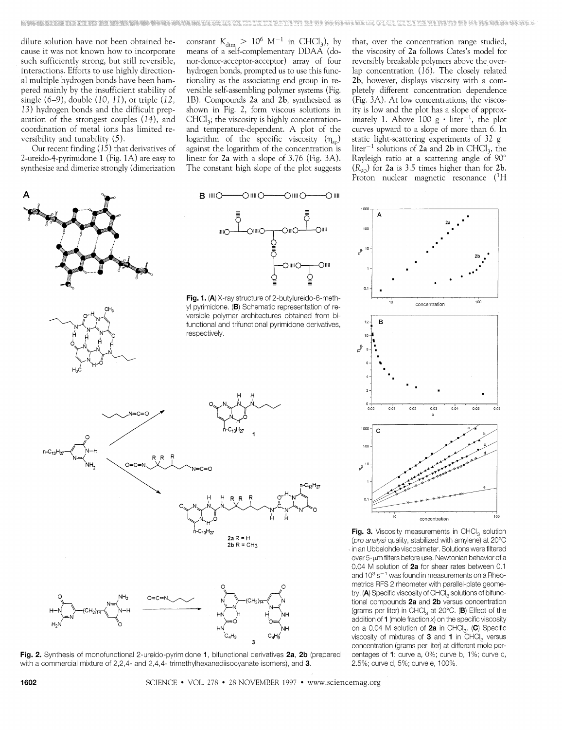dilute solution have not been obtained because it was not known how to incorporate such sufficiently strong, but still reversible, interactions. Efforts to use highly directional multiple hydrogen bonds have been hampered mainly by the insufficient stability of single  $(6-9)$ , double  $(10, 11)$ , or triple  $(12, 11)$ 13) hydrogen bonds and the difficult preparation of the strongest couples  $(14)$ , and coordination of metal ions has limited reversibility and tunability (5).

Our recent finding  $(15)$  that derivatives of 2-ureido-4-pyrimidone 1 (Fig. 1A) are easy to synthesize and dimerize strongly (dimerization



∩⊪∪

 $R$  IIII $\bigcirc$ 

**OWN** 

−∩⊪

that, over the concentration range studied, the viscosity of 2a follows Cates's model for reversibly breakable polymers above the overlap concentration (16). The closely related 2b, however, displays viscosity with a completely different concentration dependence (Fig. 3A). At low concentrations, the viscosity is low and the plot has a slope of approximately 1. Above 100 g  $\cdot$  liter<sup>-1</sup>, the plot curves upward to a slope of more than 6. In static light-scattering experiments of 32 g liter<sup>-1</sup> solutions of 2a and 2b in CHCl<sub>3</sub>, the Rayleigh ratio at a scattering angle of 90°  $(R_{90})$  for 2a is 3.5 times higher than for 2b. Proton nuclear magnetic resonance (<sup>1</sup>H

concentration

0.03

 $100$ 

 $0.05$ 



Fig. 2. Synthesis of monofunctional 2-ureido-pyrimidone 1, bifunctional derivatives 2a, 2b (prepared with a commercial mixture of 2,2,4- and 2,4,4- trimethylhexanediisocyanate isomers), and 3.



centages of 1: curve a, 0%; curve b, 1%; curve c,

2.5%; curve d, 5%; curve e, 100%.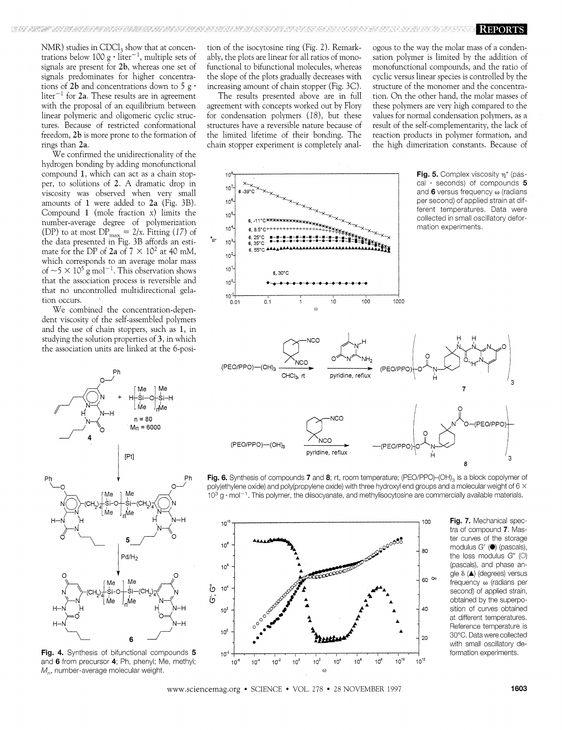NMR) studies in CDCl<sub>3</sub> show that at concentrations below 100 g  $\cdot$  liter<sup>-1</sup>, multiple sets of signals are present for 2b, whereas one set of signals predominates for higher concentrations of 2b and concentrations down to 5 g $\cdot$  $\text{liter}^{-1}$  for 2a. These results are in agreement with the proposal of an equilibrium between linear polymeric and oligomeric cyclic structures. Because of restricted conformational freedom, 2b is more prone to the formation of rings than 2a.

We confirmed the unidirectionality of the hydrogen bonding by adding monofunctional compound 1, which can act as a chain stopper, to solutions of 2. A dramatic drop in viscosity was observed when very small amounts of 1 were added to 2a (Fig. 3B). Compound 1 (mole fraction  $x$ ) limits the number-average degree of polymerization (DP) to at most  $DP_{\text{max}} = 2/x$ . Fitting (17) of<br>the data presented in Fig. 3B affords an estimate for the DP of 2a of  $7 \times 10^2$  at 40 mM, which corresponds to an average molar mass of  $\sim$  5  $\times$  10<sup>5</sup> g mol<sup>-1</sup>. This observation shows that the association process is reversible and that no uncontrolled multidirectional gelation occurs.

We combined the concentration-dependent viscosity of the self-assembled polymers and the use of chain stoppers, such as 1, in studying the solution properties of 3, in which the association units are linked at the 6-posi-



Fig. 4. Synthesis of bifunctional compounds 5 and 6 from precursor 4; Ph, phenyl; Me, methyl;  $M_{\rm n}$ , number-average molecular weight.

tion of the isocytosine ring (Fig. 2). Remarkably, the plots are linear for all ratios of monofunctional to bifunctional molecules, whereas the slope of the plots gradually decreases with increasing amount of chain stopper (Fig. 3C).

The results presented above are in full agreement with concepts worked out by Flory for condensation polymers (18), but these structures have a reversible nature because of the limited lifetime of their bonding. The chain stopper experiment is completely analogous to the way the molar mass of a condensation polymer is limited by the addition of monofunctional compounds, and the ratio of cyclic versus linear species is controlled by the structure of the monomer and the concentration. On the other hand, the molar masses of these polymers are very high compared to the values for normal condensation polymers, as a result of the self-complementarity, the lack of reaction products in polymer formation, and the high dimerization constants. Because of



Fig. 6. Synthesis of compounds 7 and 8; rt, room temperature; (PEO/PPO)-(OH)<sub>3</sub> is a block copolymer of poly(ethylene oxide) and poly(propylene oxide) with three hydroxyl end groups and a molecular weight of  $6 \times$  $10^3$  g  $\cdot$  mol<sup> $-1$ </sup>. This polymer, the diisocyanate, and methylisocytosine are commercially available materials.



Fig. 7. Mechanical spectra of compound 7. Master curves of the storage modulus  $G'$  ( $\bullet$ ) (pascals), the loss modulus  $G''$  (O) (pascals), and phase angle δ (A) (degrees) versus frequency ω (radians per second) of applied strain, obtained by the superposition of curves obtained at different temperatures. Reference temperature is 30°C. Data were collected with small oscillatory deformation experiments.